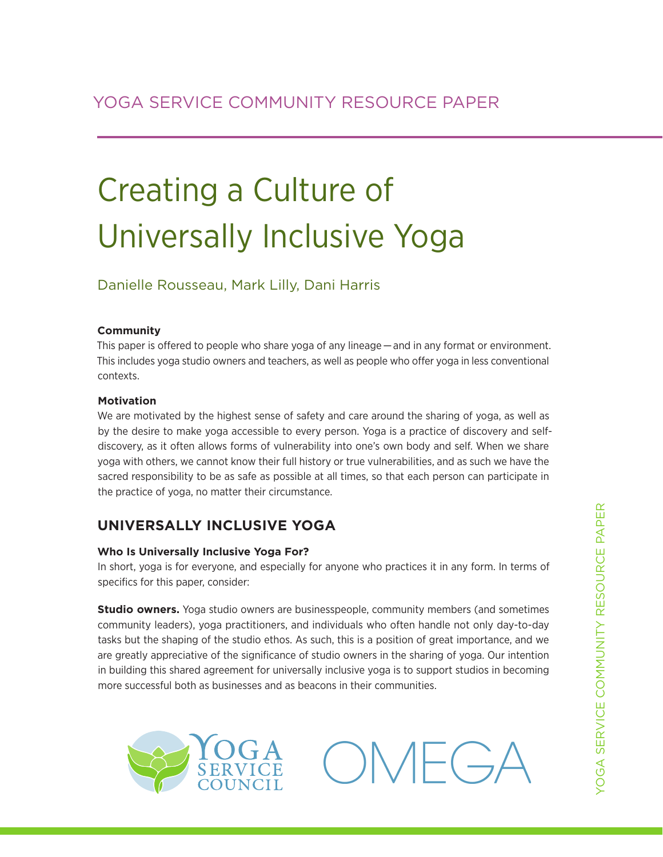# Creating a Culture of Universally Inclusive Yoga

# Danielle Rousseau, Mark Lilly, Dani Harris

## **Community**

This paper is offered to people who share yoga of any lineage — and in any format or environment. This includes yoga studio owners and teachers, as well as people who offer yoga in less conventional contexts.

## **Motivation**

We are motivated by the highest sense of safety and care around the sharing of yoga, as well as by the desire to make yoga accessible to every person. Yoga is a practice of discovery and selfdiscovery, as it often allows forms of vulnerability into one's own body and self. When we share yoga with others, we cannot know their full history or true vulnerabilities, and as such we have the sacred responsibility to be as safe as possible at all times, so that each person can participate in the practice of yoga, no matter their circumstance.

# **UNIVERSALLY INCLUSIVE YOGA**

## **Who Is Universally Inclusive Yoga For?**

In short, yoga is for everyone, and especially for anyone who practices it in any form. In terms of specifics for this paper, consider:

**Studio owners.** Yoga studio owners are businesspeople, community members (and sometimes community leaders), yoga practitioners, and individuals who often handle not only day-to-day tasks but the shaping of the studio ethos. As such, this is a position of great importance, and we are greatly appreciative of the significance of studio owners in the sharing of yoga. Our intention in building this shared agreement for universally inclusive yoga is to support studios in becoming more successful both as businesses and as beacons in their communities.



OMEGA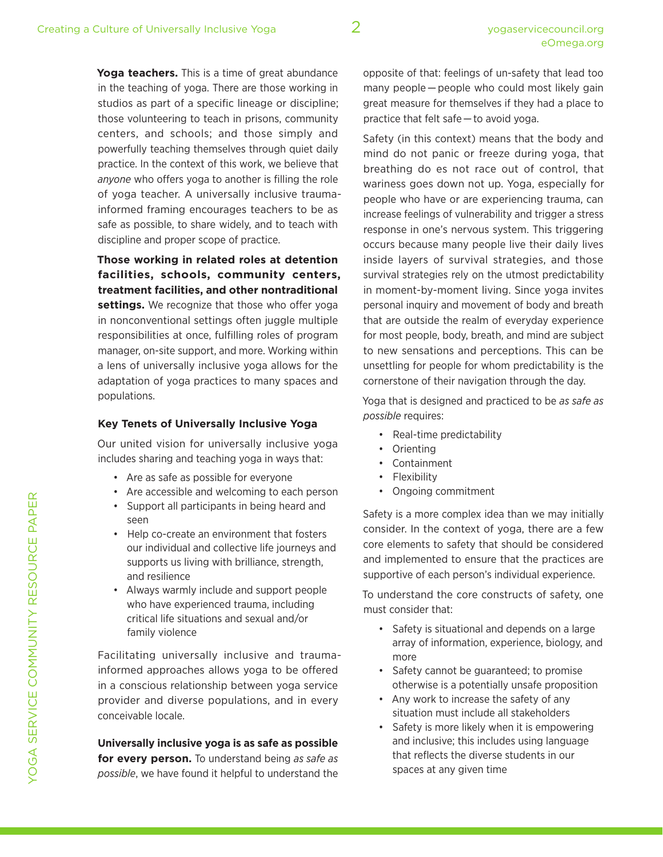**Yoga teachers.** This is a time of great abundance in the teaching of yoga. There are those working in studios as part of a specific lineage or discipline; those volunteering to teach in prisons, community centers, and schools; and those simply and powerfully teaching themselves through quiet daily practice. In the context of this work, we believe that *anyone* who offers yoga to another is filling the role of yoga teacher. A universally inclusive traumainformed framing encourages teachers to be as safe as possible, to share widely, and to teach with discipline and proper scope of practice.

**Those working in related roles at detention facilities, schools, community centers, treatment facilities, and other nontraditional settings.** We recognize that those who offer yoga in nonconventional settings often juggle multiple responsibilities at once, fulfilling roles of program manager, on-site support, and more. Working within a lens of universally inclusive yoga allows for the adaptation of yoga practices to many spaces and populations.

## **Key Tenets of Universally Inclusive Yoga**

Our united vision for universally inclusive yoga includes sharing and teaching yoga in ways that:

- Are as safe as possible for everyone
- Are accessible and welcoming to each person
- Support all participants in being heard and seen
- Help co-create an environment that fosters our individual and collective life journeys and supports us living with brilliance, strength, and resilience
- Always warmly include and support people who have experienced trauma, including critical life situations and sexual and/or family violence

Facilitating universally inclusive and traumainformed approaches allows yoga to be offered in a conscious relationship between yoga service provider and diverse populations, and in every conceivable locale.

**Universally inclusive yoga is as safe as possible for every person.** To understand being *as safe as possible*, we have found it helpful to understand the opposite of that: feelings of un-safety that lead too many people — people who could most likely gain great measure for themselves if they had a place to practice that felt safe — to avoid yoga.

Safety (in this context) means that the body and mind do not panic or freeze during yoga, that breathing do es not race out of control, that wariness goes down not up. Yoga, especially for people who have or are experiencing trauma, can increase feelings of vulnerability and trigger a stress response in one's nervous system. This triggering occurs because many people live their daily lives inside layers of survival strategies, and those survival strategies rely on the utmost predictability in moment-by-moment living. Since yoga invites personal inquiry and movement of body and breath that are outside the realm of everyday experience for most people, body, breath, and mind are subject to new sensations and perceptions. This can be unsettling for people for whom predictability is the cornerstone of their navigation through the day.

Yoga that is designed and practiced to be *as safe as possible* requires:

- Real-time predictability
- Orienting
- Containment
- Flexibility
- Ongoing commitment

Safety is a more complex idea than we may initially consider. In the context of yoga, there are a few core elements to safety that should be considered and implemented to ensure that the practices are supportive of each person's individual experience.

To understand the core constructs of safety, one must consider that:

- Safety is situational and depends on a large array of information, experience, biology, and more
- Safety cannot be guaranteed; to promise otherwise is a potentially unsafe proposition
- Any work to increase the safety of any situation must include all stakeholders
- Safety is more likely when it is empowering and inclusive; this includes using language that reflects the diverse students in our spaces at any given time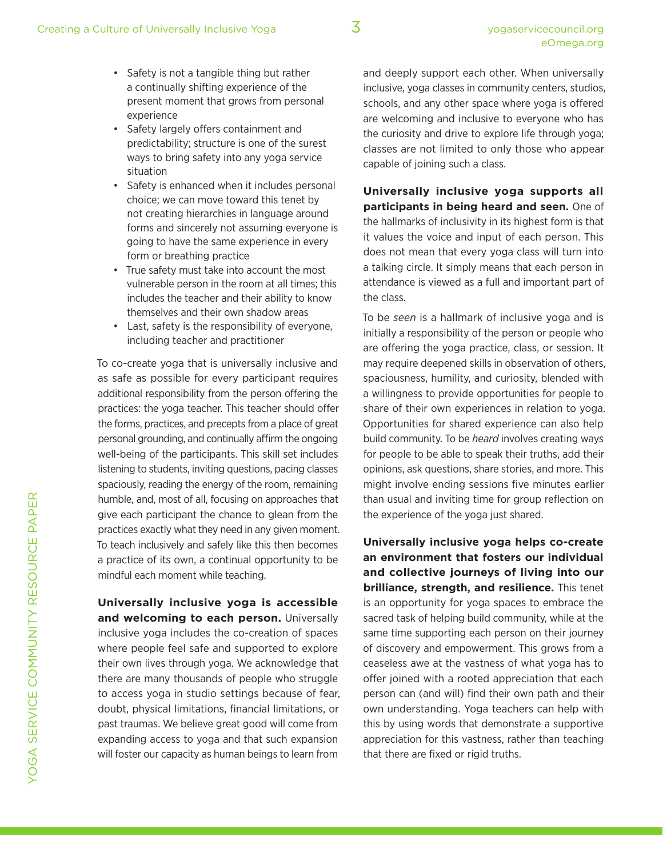- Safety is not a tangible thing but rather a continually shifting experience of the present moment that grows from personal experience
- Safety largely offers containment and predictability; structure is one of the surest ways to bring safety into any yoga service situation
- Safety is enhanced when it includes personal choice; we can move toward this tenet by not creating hierarchies in language around forms and sincerely not assuming everyone is going to have the same experience in every form or breathing practice
- True safety must take into account the most vulnerable person in the room at all times; this includes the teacher and their ability to know themselves and their own shadow areas
- Last, safety is the responsibility of everyone, including teacher and practitioner

To co-create yoga that is universally inclusive and as safe as possible for every participant requires additional responsibility from the person offering the practices: the yoga teacher. This teacher should offer the forms, practices, and precepts from a place of great personal grounding, and continually affirm the ongoing well-being of the participants. This skill set includes listening to students, inviting questions, pacing classes spaciously, reading the energy of the room, remaining humble, and, most of all, focusing on approaches that give each participant the chance to glean from the practices exactly what they need in any given moment. To teach inclusively and safely like this then becomes a practice of its own, a continual opportunity to be mindful each moment while teaching.

**Universally inclusive yoga is accessible and welcoming to each person.** Universally inclusive yoga includes the co-creation of spaces where people feel safe and supported to explore their own lives through yoga. We acknowledge that there are many thousands of people who struggle to access yoga in studio settings because of fear, doubt, physical limitations, financial limitations, or past traumas. We believe great good will come from expanding access to yoga and that such expansion will foster our capacity as human beings to learn from

and deeply support each other. When universally inclusive, yoga classes in community centers, studios, schools, and any other space where yoga is offered are welcoming and inclusive to everyone who has the curiosity and drive to explore life through yoga; classes are not limited to only those who appear capable of joining such a class.

**Universally inclusive yoga supports all participants in being heard and seen.** One of the hallmarks of inclusivity in its highest form is that it values the voice and input of each person. This does not mean that every yoga class will turn into a talking circle. It simply means that each person in attendance is viewed as a full and important part of the class.

To be *seen* is a hallmark of inclusive yoga and is initially a responsibility of the person or people who are offering the yoga practice, class, or session. It may require deepened skills in observation of others, spaciousness, humility, and curiosity, blended with a willingness to provide opportunities for people to share of their own experiences in relation to yoga. Opportunities for shared experience can also help build community. To be *heard* involves creating ways for people to be able to speak their truths, add their opinions, ask questions, share stories, and more. This might involve ending sessions five minutes earlier than usual and inviting time for group reflection on the experience of the yoga just shared.

**Universally inclusive yoga helps co-create an environment that fosters our individual and collective journeys of living into our brilliance, strength, and resilience.** This tenet is an opportunity for yoga spaces to embrace the sacred task of helping build community, while at the same time supporting each person on their journey of discovery and empowerment. This grows from a ceaseless awe at the vastness of what yoga has to offer joined with a rooted appreciation that each person can (and will) find their own path and their own understanding. Yoga teachers can help with this by using words that demonstrate a supportive appreciation for this vastness, rather than teaching that there are fixed or rigid truths.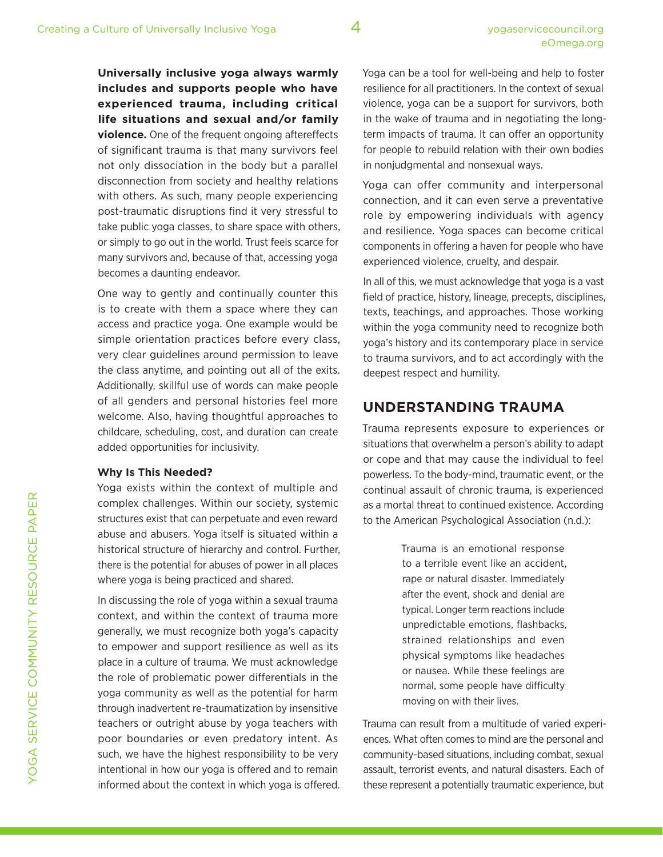**Universally inclusive yoga always warmly includes and supports people who have experienced trauma, including critical life situations and sexual and/or family violence.** One of the frequent ongoing aftereffects of significant trauma is that many survivors feel not only dissociation in the body but a parallel disconnection from society and healthy relations with others. As such, many people experiencing post-traumatic disruptions find it very stressful to take public yoga classes, to share space with others, or simply to go out in the world. Trust feels scarce for many survivors and, because of that, accessing yoga becomes a daunting endeavor.

One way to gently and continually counter this is to create with them a space where they can access and practice yoga. One example would be simple orientation practices before every class, very clear guidelines around permission to leave the class anytime, and pointing out all of the exits. Additionally, skillful use of words can make people of all genders and personal histories feel more welcome. Also, having thoughtful approaches to childcare, scheduling, cost, and duration can create added opportunities for inclusivity.

#### **Why Is This Needed?**

Yoga exists within the context of multiple and complex challenges. Within our society, systemic structures exist that can perpetuate and even reward abuse and abusers. Yoga itself is situated within a historical structure of hierarchy and control. Further, there is the potential for abuses of power in all places where yoga is being practiced and shared.

In discussing the role of yoga within a sexual trauma context, and within the context of trauma more generally, we must recognize both yoga's capacity to empower and support resilience as well as its place in a culture of trauma. We must acknowledge the role of problematic power differentials in the yoga community as well as the potential for harm through inadvertent re-traumatization by insensitive teachers or outright abuse by yoga teachers with poor boundaries or even predatory intent. As such, we have the highest responsibility to be very intentional in how our yoga is offered and to remain informed about the context in which yoga is offered. Yoga can be a tool for well-being and help to foster resilience for all practitioners. In the context of sexual violence, yoga can be a support for survivors, both in the wake of trauma and in negotiating the longterm impacts of trauma. It can offer an opportunity for people to rebuild relation with their own bodies in nonjudgmental and nonsexual ways.

Yoga can offer community and interpersonal connection, and it can even serve a preventative role by empowering individuals with agency and resilience. Yoga spaces can become critical components in offering a haven for people who have experienced violence, cruelty, and despair.

In all of this, we must acknowledge that yoga is a vast field of practice, history, lineage, precepts, disciplines, texts, teachings, and approaches. Those working within the yoga community need to recognize both yoga's history and its contemporary place in service to trauma survivors, and to act accordingly with the deepest respect and humility.

## **UNDERSTANDING TRAUMA**

Trauma represents exposure to experiences or situations that overwhelm a person's ability to adapt or cope and that may cause the individual to feel powerless. To the body-mind, traumatic event, or the continual assault of chronic trauma, is experienced as a mortal threat to continued existence. According to the American Psychological Association (n.d.):

> Trauma is an emotional response to a terrible event like an accident, rape or natural disaster. Immediately after the event, shock and denial are typical. Longer term reactions include unpredictable emotions, flashbacks, strained relationships and even physical symptoms like headaches or nausea. While these feelings are normal, some people have difficulty moving on with their lives.

Trauma can result from a multitude of varied experiences. What often comes to mind are the personal and community-based situations, including combat, sexual assault, terrorist events, and natural disasters. Each of these represent a potentially traumatic experience, but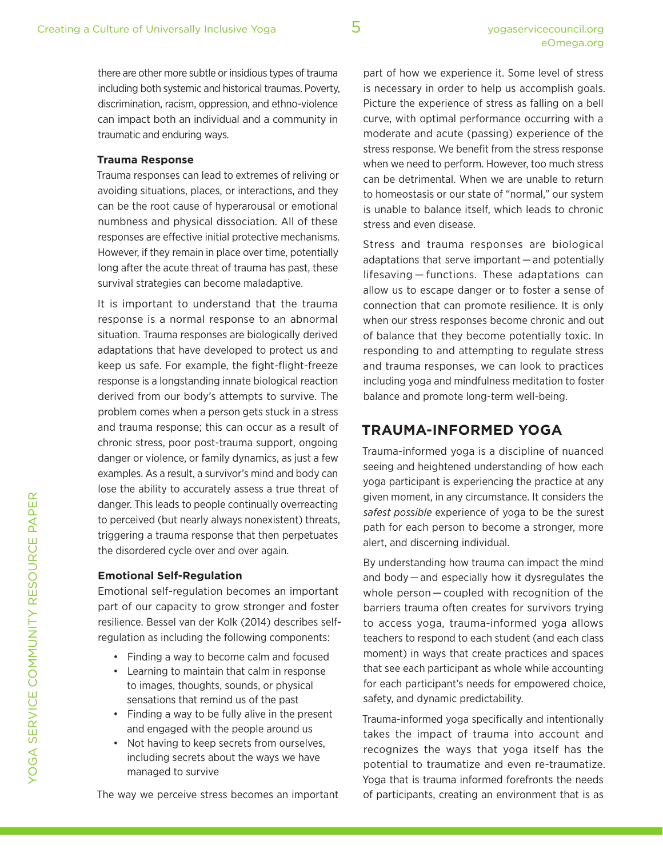there are other more subtle or insidious types of trauma including both systemic and historical traumas. Poverty, discrimination, racism, oppression, and ethno-violence can impact both an individual and a community in traumatic and enduring ways.

#### **Trauma Response**

Trauma responses can lead to extremes of reliving or avoiding situations, places, or interactions, and they can be the root cause of hyperarousal or emotional numbness and physical dissociation. All of these responses are effective initial protective mechanisms. However, if they remain in place over time, potentially long after the acute threat of trauma has past, these survival strategies can become maladaptive.

It is important to understand that the trauma response is a normal response to an abnormal situation. Trauma responses are biologically derived adaptations that have developed to protect us and keep us safe. For example, the fight-flight-freeze response is a longstanding innate biological reaction derived from our body's attempts to survive. The problem comes when a person gets stuck in a stress and trauma response; this can occur as a result of chronic stress, poor post-trauma support, ongoing danger or violence, or family dynamics, as just a few examples. As a result, a survivor's mind and body can lose the ability to accurately assess a true threat of danger. This leads to people continually overreacting to perceived (but nearly always nonexistent) threats, triggering a trauma response that then perpetuates the disordered cycle over and over again.

#### **Emotional Self-Regulation**

Emotional self-regulation becomes an important part of our capacity to grow stronger and foster resilience. Bessel van der Kolk (2014) describes selfregulation as including the following components:

- Finding a way to become calm and focused
- Learning to maintain that calm in response to images, thoughts, sounds, or physical sensations that remind us of the past
- Finding a way to be fully alive in the present and engaged with the people around us
- Not having to keep secrets from ourselves, including secrets about the ways we have managed to survive

The way we perceive stress becomes an important

part of how we experience it. Some level of stress is necessary in order to help us accomplish goals. Picture the experience of stress as falling on a bell curve, with optimal performance occurring with a moderate and acute (passing) experience of the stress response. We benefit from the stress response when we need to perform. However, too much stress can be detrimental. When we are unable to return to homeostasis or our state of "normal," our system is unable to balance itself, which leads to chronic stress and even disease.

Stress and trauma responses are biological adaptations that serve important — and potentially lifesaving — functions. These adaptations can allow us to escape danger or to foster a sense of connection that can promote resilience. It is only when our stress responses become chronic and out of balance that they become potentially toxic. In responding to and attempting to regulate stress and trauma responses, we can look to practices including yoga and mindfulness meditation to foster balance and promote long-term well-being.

## **TRAUMA-INFORMED YOGA**

Trauma-informed yoga is a discipline of nuanced seeing and heightened understanding of how each yoga participant is experiencing the practice at any given moment, in any circumstance. It considers the *safest possible* experience of yoga to be the surest path for each person to become a stronger, more alert, and discerning individual.

By understanding how trauma can impact the mind and body — and especially how it dysregulates the whole person — coupled with recognition of the barriers trauma often creates for survivors trying to access yoga, trauma-informed yoga allows teachers to respond to each student (and each class moment) in ways that create practices and spaces that see each participant as whole while accounting for each participant's needs for empowered choice, safety, and dynamic predictability.

Trauma-informed yoga specifically and intentionally takes the impact of trauma into account and recognizes the ways that yoga itself has the potential to traumatize and even re-traumatize. Yoga that is trauma informed forefronts the needs of participants, creating an environment that is as

5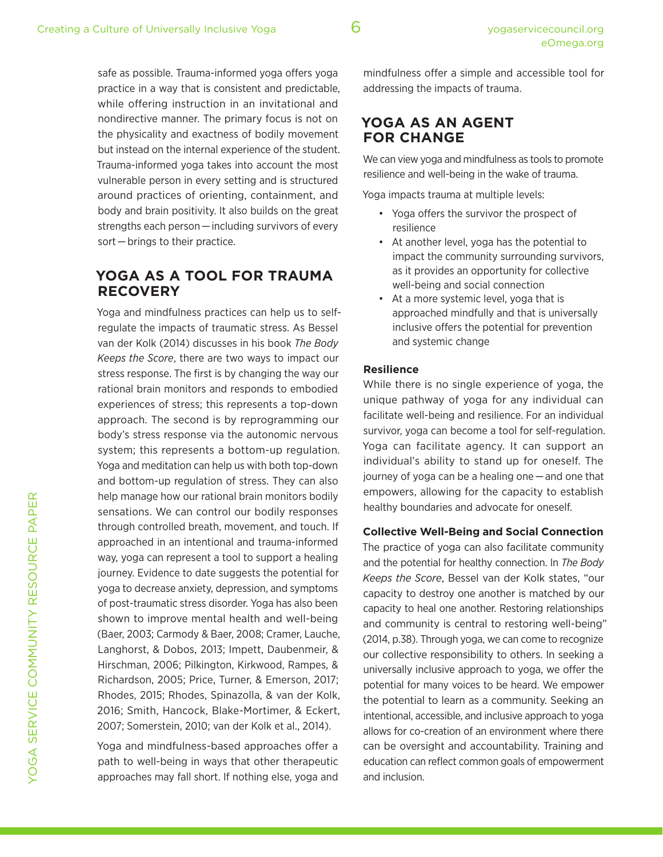safe as possible. Trauma-informed yoga offers yoga practice in a way that is consistent and predictable, while offering instruction in an invitational and nondirective manner. The primary focus is not on the physicality and exactness of bodily movement but instead on the internal experience of the student. Trauma-informed yoga takes into account the most vulnerable person in every setting and is structured around practices of orienting, containment, and body and brain positivity. It also builds on the great strengths each person — including survivors of every sort — brings to their practice.

# **YOGA AS A TOOL FOR TRAUMA RECOVERY**

Yoga and mindfulness practices can help us to selfregulate the impacts of traumatic stress. As Bessel van der Kolk (2014) discusses in his book *The Body Keeps the Score*, there are two ways to impact our stress response. The first is by changing the way our rational brain monitors and responds to embodied experiences of stress; this represents a top-down approach. The second is by reprogramming our body's stress response via the autonomic nervous system; this represents a bottom-up regulation. Yoga and meditation can help us with both top-down and bottom-up regulation of stress. They can also help manage how our rational brain monitors bodily sensations. We can control our bodily responses through controlled breath, movement, and touch. If approached in an intentional and trauma-informed way, yoga can represent a tool to support a healing journey. Evidence to date suggests the potential for yoga to decrease anxiety, depression, and symptoms of post-traumatic stress disorder. Yoga has also been shown to improve mental health and well-being (Baer, 2003; Carmody & Baer, 2008; Cramer, Lauche, Langhorst, & Dobos, 2013; Impett, Daubenmeir, & Hirschman, 2006; Pilkington, Kirkwood, Rampes, & Richardson, 2005; Price, Turner, & Emerson, 2017; Rhodes, 2015; Rhodes, Spinazolla, & van der Kolk, 2016; Smith, Hancock, Blake-Mortimer, & Eckert, 2007; Somerstein, 2010; van der Kolk et al., 2014).

Yoga and mindfulness-based approaches offer a path to well-being in ways that other therapeutic approaches may fall short. If nothing else, yoga and

mindfulness offer a simple and accessible tool for addressing the impacts of trauma.

## **YOGA AS AN AGENT FOR CHANGE**

We can view yoga and mindfulness as tools to promote resilience and well-being in the wake of trauma.

Yoga impacts trauma at multiple levels:

- Yoga offers the survivor the prospect of resilience
- At another level, yoga has the potential to impact the community surrounding survivors, as it provides an opportunity for collective well-being and social connection
- At a more systemic level, yoga that is approached mindfully and that is universally inclusive offers the potential for prevention and systemic change

## **Resilience**

While there is no single experience of yoga, the unique pathway of yoga for any individual can facilitate well-being and resilience. For an individual survivor, yoga can become a tool for self-regulation. Yoga can facilitate agency. It can support an individual's ability to stand up for oneself. The journey of yoga can be a healing one — and one that empowers, allowing for the capacity to establish healthy boundaries and advocate for oneself.

## **Collective Well-Being and Social Connection**

The practice of yoga can also facilitate community and the potential for healthy connection. In *The Body Keeps the Score*, Bessel van der Kolk states, "our capacity to destroy one another is matched by our capacity to heal one another. Restoring relationships and community is central to restoring well-being" (2014, p.38). Through yoga, we can come to recognize our collective responsibility to others. In seeking a universally inclusive approach to yoga, we offer the potential for many voices to be heard. We empower the potential to learn as a community. Seeking an intentional, accessible, and inclusive approach to yoga allows for co-creation of an environment where there can be oversight and accountability. Training and education can reflect common goals of empowerment and inclusion.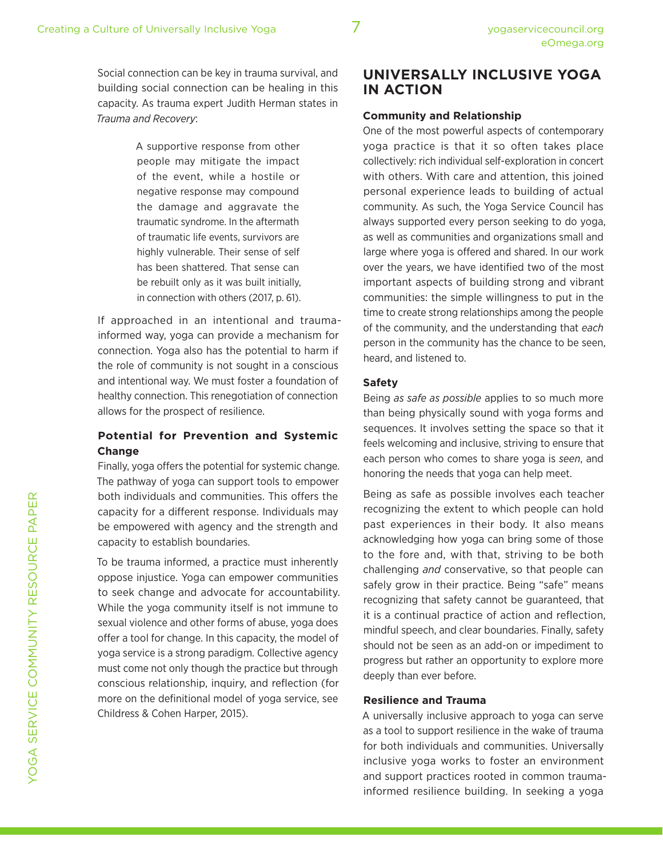Social connection can be key in trauma survival, and building social connection can be healing in this capacity. As trauma expert Judith Herman states in *Trauma and Recovery*:

> A supportive response from other people may mitigate the impact of the event, while a hostile or negative response may compound the damage and aggravate the traumatic syndrome. In the aftermath of traumatic life events, survivors are highly vulnerable. Their sense of self has been shattered. That sense can be rebuilt only as it was built initially, in connection with others (2017, p. 61).

If approached in an intentional and traumainformed way, yoga can provide a mechanism for connection. Yoga also has the potential to harm if the role of community is not sought in a conscious and intentional way. We must foster a foundation of healthy connection. This renegotiation of connection allows for the prospect of resilience.

## **Potential for Prevention and Systemic Change**

Finally, yoga offers the potential for systemic change. The pathway of yoga can support tools to empower both individuals and communities. This offers the capacity for a different response. Individuals may be empowered with agency and the strength and capacity to establish boundaries.

To be trauma informed, a practice must inherently oppose injustice. Yoga can empower communities to seek change and advocate for accountability. While the yoga community itself is not immune to sexual violence and other forms of abuse, yoga does offer a tool for change. In this capacity, the model of yoga service is a strong paradigm. Collective agency must come not only though the practice but through conscious relationship, inquiry, and reflection (for more on the definitional model of yoga service, see Childress & Cohen Harper, 2015).

## **UNIVERSALLY INCLUSIVE YOGA IN ACTION**

## **Community and Relationship**

One of the most powerful aspects of contemporary yoga practice is that it so often takes place collectively: rich individual self-exploration in concert with others. With care and attention, this joined personal experience leads to building of actual community. As such, the Yoga Service Council has always supported every person seeking to do yoga, as well as communities and organizations small and large where yoga is offered and shared. In our work over the years, we have identified two of the most important aspects of building strong and vibrant communities: the simple willingness to put in the time to create strong relationships among the people of the community, and the understanding that *each* person in the community has the chance to be seen, heard, and listened to.

#### **Safety**

Being *as safe as possible* applies to so much more than being physically sound with yoga forms and sequences. It involves setting the space so that it feels welcoming and inclusive, striving to ensure that each person who comes to share yoga is *seen*, and honoring the needs that yoga can help meet.

Being as safe as possible involves each teacher recognizing the extent to which people can hold past experiences in their body. It also means acknowledging how yoga can bring some of those to the fore and, with that, striving to be both challenging *and* conservative, so that people can safely grow in their practice. Being "safe" means recognizing that safety cannot be guaranteed, that it is a continual practice of action and reflection, mindful speech, and clear boundaries. Finally, safety should not be seen as an add-on or impediment to progress but rather an opportunity to explore more deeply than ever before.

#### **Resilience and Trauma**

A universally inclusive approach to yoga can serve as a tool to support resilience in the wake of trauma for both individuals and communities. Universally inclusive yoga works to foster an environment and support practices rooted in common traumainformed resilience building. In seeking a yoga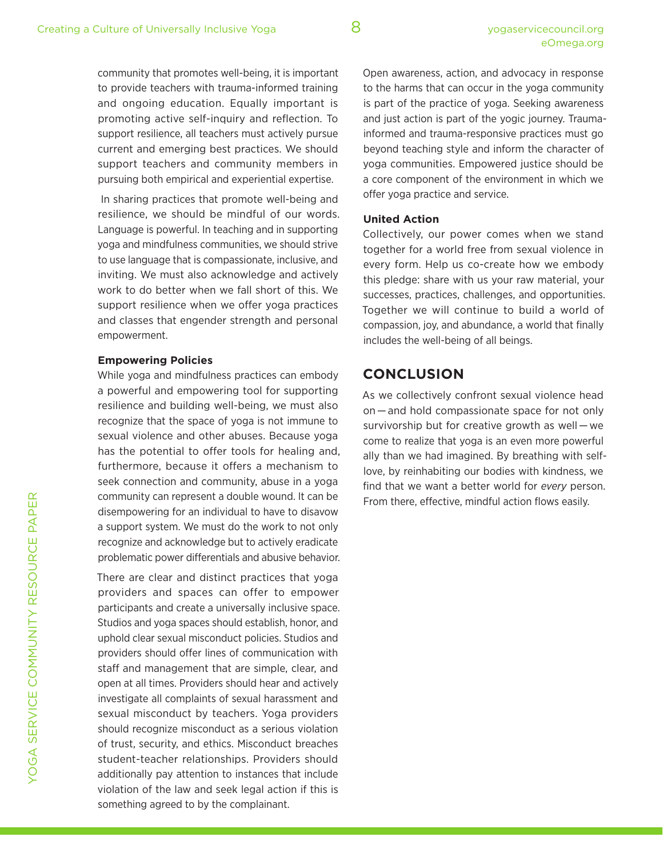community that promotes well-being, it is important to provide teachers with trauma-informed training and ongoing education. Equally important is promoting active self-inquiry and reflection. To support resilience, all teachers must actively pursue current and emerging best practices. We should support teachers and community members in pursuing both empirical and experiential expertise.

 In sharing practices that promote well-being and resilience, we should be mindful of our words. Language is powerful. In teaching and in supporting yoga and mindfulness communities, we should strive to use language that is compassionate, inclusive, and inviting. We must also acknowledge and actively work to do better when we fall short of this. We support resilience when we offer yoga practices and classes that engender strength and personal empowerment.

#### **Empowering Policies**

While yoga and mindfulness practices can embody a powerful and empowering tool for supporting resilience and building well-being, we must also recognize that the space of yoga is not immune to sexual violence and other abuses. Because yoga has the potential to offer tools for healing and, furthermore, because it offers a mechanism to seek connection and community, abuse in a yoga community can represent a double wound. It can be disempowering for an individual to have to disavow a support system. We must do the work to not only recognize and acknowledge but to actively eradicate problematic power differentials and abusive behavior.

There are clear and distinct practices that yoga providers and spaces can offer to empower participants and create a universally inclusive space. Studios and yoga spaces should establish, honor, and uphold clear sexual misconduct policies. Studios and providers should offer lines of communication with staff and management that are simple, clear, and open at all times. Providers should hear and actively investigate all complaints of sexual harassment and sexual misconduct by teachers. Yoga providers should recognize misconduct as a serious violation of trust, security, and ethics. Misconduct breaches student-teacher relationships. Providers should additionally pay attention to instances that include violation of the law and seek legal action if this is something agreed to by the complainant.

Open awareness, action, and advocacy in response to the harms that can occur in the yoga community is part of the practice of yoga. Seeking awareness and just action is part of the yogic journey. Traumainformed and trauma-responsive practices must go beyond teaching style and inform the character of yoga communities. Empowered justice should be a core component of the environment in which we offer yoga practice and service.

#### **United Action**

Collectively, our power comes when we stand together for a world free from sexual violence in every form. Help us co-create how we embody this pledge: share with us your raw material, your successes, practices, challenges, and opportunities. Together we will continue to build a world of compassion, joy, and abundance, a world that finally includes the well-being of all beings.

## **CONCLUSION**

As we collectively confront sexual violence head on — and hold compassionate space for not only survivorship but for creative growth as well — we come to realize that yoga is an even more powerful ally than we had imagined. By breathing with selflove, by reinhabiting our bodies with kindness, we find that we want a better world for *every* person. From there, effective, mindful action flows easily.